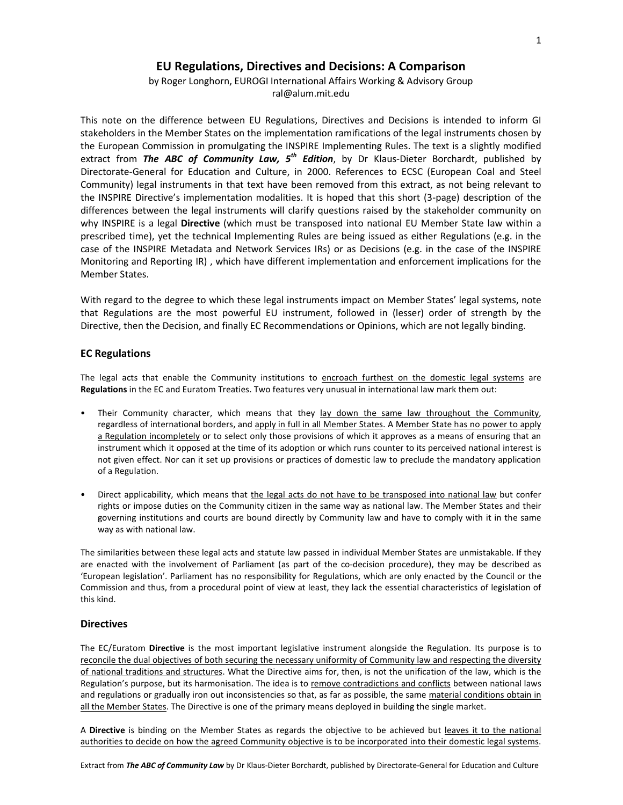# EU Regulations, Directives and Decisions: A Comparison

## by Roger Longhorn, EUROGI International Affairs Working & Advisory Group ral@alum.mit.edu

This note on the difference between EU Regulations, Directives and Decisions is intended to inform GI stakeholders in the Member States on the implementation ramifications of the legal instruments chosen by the European Commission in promulgating the INSPIRE Implementing Rules. The text is a slightly modified extract from The ABC of Community Law,  $5<sup>th</sup>$  Edition, by Dr Klaus-Dieter Borchardt, published by Directorate-General for Education and Culture, in 2000. References to ECSC (European Coal and Steel Community) legal instruments in that text have been removed from this extract, as not being relevant to the INSPIRE Directive's implementation modalities. It is hoped that this short (3-page) description of the differences between the legal instruments will clarify questions raised by the stakeholder community on why INSPIRE is a legal Directive (which must be transposed into national EU Member State law within a prescribed time), yet the technical Implementing Rules are being issued as either Regulations (e.g. in the case of the INSPIRE Metadata and Network Services IRs) or as Decisions (e.g. in the case of the INSPIRE Monitoring and Reporting IR) , which have different implementation and enforcement implications for the Member States.

With regard to the degree to which these legal instruments impact on Member States' legal systems, note that Regulations are the most powerful EU instrument, followed in (lesser) order of strength by the Directive, then the Decision, and finally EC Recommendations or Opinions, which are not legally binding.

## EC Regulations

The legal acts that enable the Community institutions to encroach furthest on the domestic legal systems are Regulations in the EC and Euratom Treaties. Two features very unusual in international law mark them out:

- Their Community character, which means that they lay down the same law throughout the Community, regardless of international borders, and apply in full in all Member States. A Member State has no power to apply a Regulation incompletely or to select only those provisions of which it approves as a means of ensuring that an instrument which it opposed at the time of its adoption or which runs counter to its perceived national interest is not given effect. Nor can it set up provisions or practices of domestic law to preclude the mandatory application of a Regulation.
- Direct applicability, which means that the legal acts do not have to be transposed into national law but confer rights or impose duties on the Community citizen in the same way as national law. The Member States and their governing institutions and courts are bound directly by Community law and have to comply with it in the same way as with national law.

The similarities between these legal acts and statute law passed in individual Member States are unmistakable. If they are enacted with the involvement of Parliament (as part of the co-decision procedure), they may be described as 'European legislation'. Parliament has no responsibility for Regulations, which are only enacted by the Council or the Commission and thus, from a procedural point of view at least, they lack the essential characteristics of legislation of this kind.

### **Directives**

The EC/Euratom Directive is the most important legislative instrument alongside the Regulation. Its purpose is to reconcile the dual objectives of both securing the necessary uniformity of Community law and respecting the diversity of national traditions and structures. What the Directive aims for, then, is not the unification of the law, which is the Regulation's purpose, but its harmonisation. The idea is to remove contradictions and conflicts between national laws and regulations or gradually iron out inconsistencies so that, as far as possible, the same material conditions obtain in all the Member States. The Directive is one of the primary means deployed in building the single market.

A Directive is binding on the Member States as regards the objective to be achieved but leaves it to the national authorities to decide on how the agreed Community objective is to be incorporated into their domestic legal systems.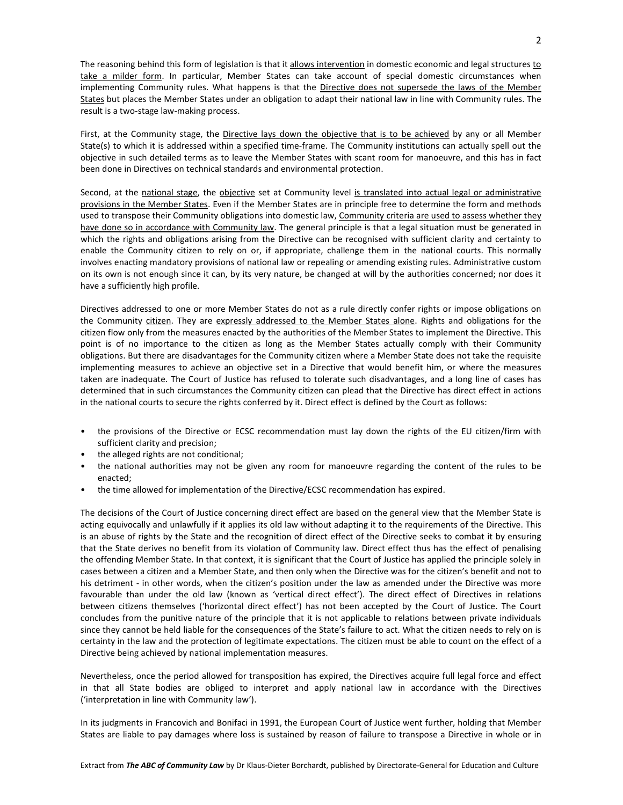The reasoning behind this form of legislation is that it allows intervention in domestic economic and legal structures to take a milder form. In particular, Member States can take account of special domestic circumstances when implementing Community rules. What happens is that the Directive does not supersede the laws of the Member States but places the Member States under an obligation to adapt their national law in line with Community rules. The result is a two-stage law-making process.

First, at the Community stage, the Directive lays down the objective that is to be achieved by any or all Member State(s) to which it is addressed within a specified time-frame. The Community institutions can actually spell out the objective in such detailed terms as to leave the Member States with scant room for manoeuvre, and this has in fact been done in Directives on technical standards and environmental protection.

Second, at the national stage, the objective set at Community level is translated into actual legal or administrative provisions in the Member States. Even if the Member States are in principle free to determine the form and methods used to transpose their Community obligations into domestic law, Community criteria are used to assess whether they have done so in accordance with Community law. The general principle is that a legal situation must be generated in which the rights and obligations arising from the Directive can be recognised with sufficient clarity and certainty to enable the Community citizen to rely on or, if appropriate, challenge them in the national courts. This normally involves enacting mandatory provisions of national law or repealing or amending existing rules. Administrative custom on its own is not enough since it can, by its very nature, be changed at will by the authorities concerned; nor does it have a sufficiently high profile.

Directives addressed to one or more Member States do not as a rule directly confer rights or impose obligations on the Community citizen. They are expressly addressed to the Member States alone. Rights and obligations for the citizen flow only from the measures enacted by the authorities of the Member States to implement the Directive. This point is of no importance to the citizen as long as the Member States actually comply with their Community obligations. But there are disadvantages for the Community citizen where a Member State does not take the requisite implementing measures to achieve an objective set in a Directive that would benefit him, or where the measures taken are inadequate. The Court of Justice has refused to tolerate such disadvantages, and a long line of cases has determined that in such circumstances the Community citizen can plead that the Directive has direct effect in actions in the national courts to secure the rights conferred by it. Direct effect is defined by the Court as follows:

- the provisions of the Directive or ECSC recommendation must lay down the rights of the EU citizen/firm with sufficient clarity and precision;
- the alleged rights are not conditional;
- the national authorities may not be given any room for manoeuvre regarding the content of the rules to be enacted;
- the time allowed for implementation of the Directive/ECSC recommendation has expired.

The decisions of the Court of Justice concerning direct effect are based on the general view that the Member State is acting equivocally and unlawfully if it applies its old law without adapting it to the requirements of the Directive. This is an abuse of rights by the State and the recognition of direct effect of the Directive seeks to combat it by ensuring that the State derives no benefit from its violation of Community law. Direct effect thus has the effect of penalising the offending Member State. In that context, it is significant that the Court of Justice has applied the principle solely in cases between a citizen and a Member State, and then only when the Directive was for the citizen's benefit and not to his detriment - in other words, when the citizen's position under the law as amended under the Directive was more favourable than under the old law (known as 'vertical direct effect'). The direct effect of Directives in relations between citizens themselves ('horizontal direct effect') has not been accepted by the Court of Justice. The Court concludes from the punitive nature of the principle that it is not applicable to relations between private individuals since they cannot be held liable for the consequences of the State's failure to act. What the citizen needs to rely on is certainty in the law and the protection of legitimate expectations. The citizen must be able to count on the effect of a Directive being achieved by national implementation measures.

Nevertheless, once the period allowed for transposition has expired, the Directives acquire full legal force and effect in that all State bodies are obliged to interpret and apply national law in accordance with the Directives ('interpretation in line with Community law').

In its judgments in Francovich and Bonifaci in 1991, the European Court of Justice went further, holding that Member States are liable to pay damages where loss is sustained by reason of failure to transpose a Directive in whole or in